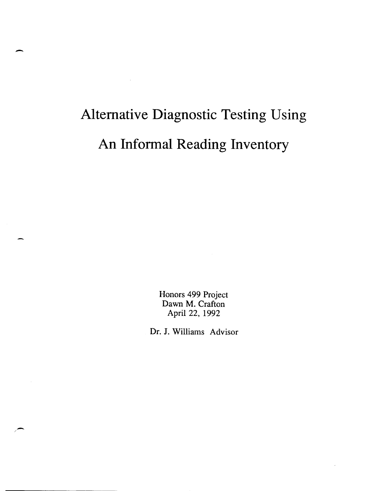# **Alternative Diagnostic Testing Using An Informal Reading Inventory**

-

 $\overline{\phantom{0}}$ 

Honors 499 Project Dawn M. Crafton April 22, 1992

Dr. J. Williams Advisor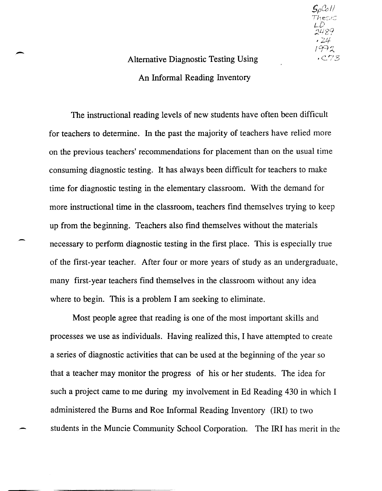### Alternative Diagnostic Testing Using An Informal Reading Inventory

 $S_{\rho}$ Coll

LD<br>2489  $74$ 1992  $CC73$ 

The instructional reading levels of new students have often been difficult for teachers to determine. In the past the majority of teachers have relied more on the previous teachers' recommendations for placement than on the usual time consuming diagnostic testing. It has always been difficult for teachers to make time for diagnostic testing in the elementary classroom. With the demand for more instructional time in the classroom, teachers find themselves trying to keep up from the beginning. Teachers also find themselves without the materials necessary to perform diagnostic testing in the first place. This is especially true of the first-year teacher. After four or more years of study as an undergraduate, many first-year teachers find themselves in the classroom without any idea where to begin. This is a problem I am seeking to eliminate.

Most people agree that reading is one of the most important skills and processes we use as individuals. Having realized this, I have attempted to create a series of diagnostic activities that can be used at the beginning of the year so that a teacher may monitor the progress of his or her students. The idea for such a project came to me during my involvement in Ed Reading 430 in which I administered the Bums and Roe Informal Reading Inventory (IRI) to two students in the Muncie Community School Corporation. The IRI has merit in the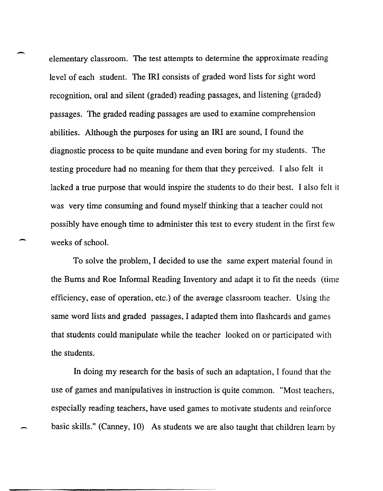elementary classroom. The test attempts to determine the approximate reading level of each student. The **IRI** consists of graded word lists for sight word recognition, oral and silent (graded) reading passages, and listening (graded) passages. The graded reading passages are used to examine comprehension abilities. Although the purposes for using an **IRI** are sound, I found the diagnostic process to be quite mundane and even boring for my students. The testing procedure had no meaning for them that they perceived. I also felt it lacked a true purpose that would inspire the students to do their best. I also felt it was very time consuming and found myself thinking that a teacher could not possibly have enough time to administer this test to every student in the first few weeks of school.

-

-

To solve the problem, I decided to use the same expert material found in the Burns and Roe Informal Reading Inventory and adapt it to fit the needs (time efficiency, ease of operation, etc.) of the average classroom teacher. Using the same word lists and graded passages, I adapted them into flashcards and games that students could manipulate while the teacher looked on or participated with the students.

In doing my research for the basis of such an adaptation, I found that the use of games and manipulatives in instruction is quite common. "Most teachers, especially reading teachers, have used games to motivate students and reinforce basic skills." (Canney, 10) As students we are also taught that children learn by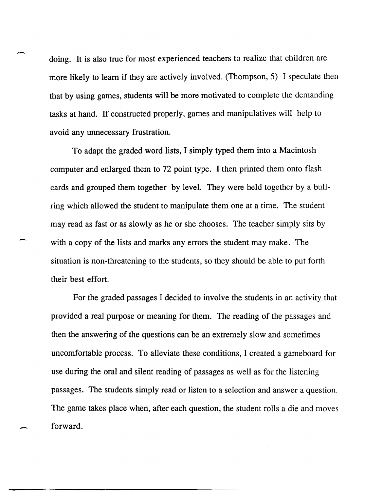doing. It is also true for most experienced teachers to realize that children are more likely to learn if they are actively involved. (Thompson, 5) I speculate then that by using games, students will be more motivated to complete the demanding tasks at hand. If constructed properly, games and manipulatives will help to avoid any unnecessary frustration.

-

-

To adapt the graded word lists, I simply typed them into a Macintosh computer and enlarged them to 72 point type. I then printed them onto flash cards and grouped them together by level. They were held together by a bullring which allowed the student to manipulate them one at a time. The student may read as fast or as slowly as he or she chooses. The teacher simply sits by with a copy of the lists and marks any errors the student may make. The situation is non-threatening to the students, so they should be able to put forth their best effort.

For the graded passages I decided to involve the students in an activity that provided a real purpose or meaning for them. The reading of the passages and then the answering of the questions can be an extremely slow and sometimes uncomfortable process. To alleviate these conditions, I created a gameboard for use during the oral and silent reading of passages as well as for the listening passages. The students simply read or listen to a selection and answer a question. The game takes place when, after each question, the student rolls a die and moves forward.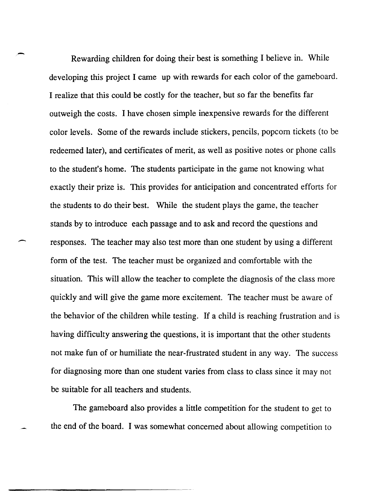Rewarding children for doing their best is something I believe in. While developing this project I came up with rewards for each color of the gameboard. I realize that this could be costly for the teacher, but so far the benefits far outweigh the costs. I have chosen simple inexpensive rewards for the different color levels. Some of the rewards include stickers, pencils, popcorn tickets (to be redeemed later), and certificates of merit, as well as positive notes or phone calls to the student's home. The students participate in the game not knowing what exactly their prize is. This provides for anticipation and concentrated efforts for the students to do their best. While the student plays the game, the teacher stands by to introduce each passage and to ask and record the questions and responses. The teacher may also test more than one student by using a different form of the test. The teacher must be organized and comfortable with the situation. This will allow the teacher to complete the diagnosis of the class more quickly and will give the game more excitement. The teacher must be aware of the behavior of the children while testing. If a child is reaching frustration and is having difficulty answering the questions, it is important that the other students not make fun of or humiliate the near-frustrated student in any way. The success for diagnosing more than one student varies from class to class since it may not be suitable for all teachers and students.

The gameboard also provides a little competition for the student to get to the end of the board. I was somewhat concerned about allowing competition to

 $\overline{\phantom{0}}$ 

.-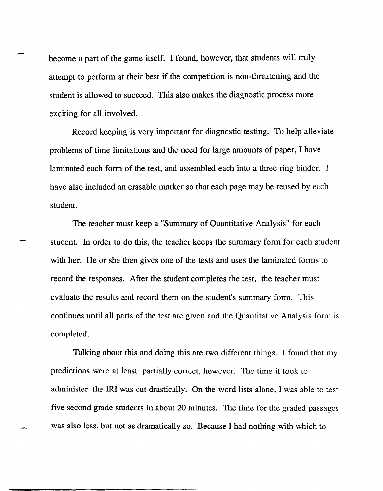become a part of the game itself. I found, however, that students will truly attempt to perform at their best if the competition is non-threatening and the student is allowed to succeed. This also makes the diagnostic process more exciting for all involved.

Record keeping is very important for diagnostic testing. To help alleviate problems of time limitations and the need for large amounts of paper, I have laminated each form of the test, and assembled each into a three ring binder. I have also included an erasable marker so that each page may be reused by each student.

The teacher must keep a "Summary of Quantitative Analysis" for each student. In order to do this, the teacher keeps the summary form for each student with her. He or she then gives one of the tests and uses the laminated forms to record the responses. After the student completes the test, the teacher must evaluate the results and record them on the student's summary form. This continues until all parts of the test are given and the Quantitative Analysis form is completed.

Talking about this and doing this are two different things. I found that my predictions were at least partially correct, however. The time it took to administer the IRI was cut drastically. On the word lists alone, I was able to test five second grade students in about 20 minutes. The time for the graded passages was also less, but not as dramatically so. Because I had nothing with which to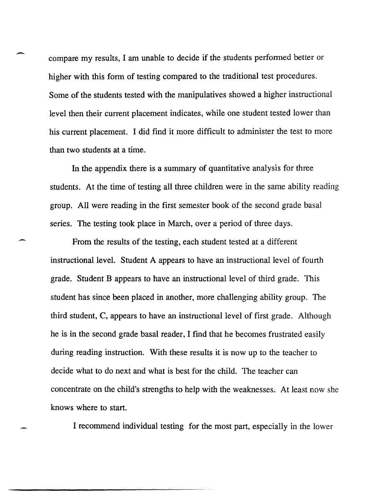compare my results, I am unable to decide if the students perfonned better or higher with this form of testing compared to the traditional test procedures. Some of the students tested with the manipulatives showed a higher instructional level then their current placement indicates, while one student tested lower than his current placement. I did find it more difficult to administer the test to more than two students at a time.

-

-

In the appendix there is a summary of quantitative analysis for three students. At the time of testing all three children were in the same ability reading group. All were reading in the first semester book of the second grade basal series. The testing took place in March, over a period of three days.

From the results of the testing, each student tested at a different instructional level. Student A appears to have an instructional level of fourth grade. Student B appears to have an instructional level of third grade. This student has since been placed in another, more challenging ability group. The third student, C, appears to have an instructional level of first grade. Although he is in the second grade basal reader, I find that he becomes frustrated easily during reading instruction. With these results it is now up to the teacher to decide what to do next and what is best for the child. The teacher can concentrate on the child's strengths to help with the weaknesses. At least now she knows where to start.

I recommend individual testing for the most part, especially in the lower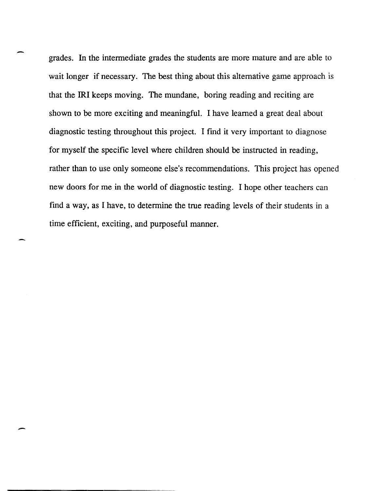grades. In the intennediate grades the students are more mature and are able to wait longer if necessary. The best thing about this alternative game approach is that the **IRI** keeps moving. The mundane, boring reading and reciting are shown to be more exciting and meaningful. I have learned a great deal about diagnostic testing throughout this project. I find it very important to diagnose for myself the specific level where children should be instructed in reading, rather than to use only someone else's recommendations. This project has opened new doors for me in the world of diagnostic testing. I hope other teachers can find a way, as I have, to determine the true reading levels of their students in a time efficient, exciting, and purposeful manner.

-

-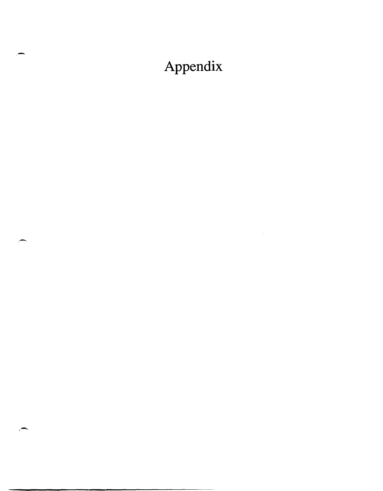## Appendix

 $\mathcal{L}^{\text{max}}_{\text{max}}$  and  $\mathcal{L}^{\text{max}}_{\text{max}}$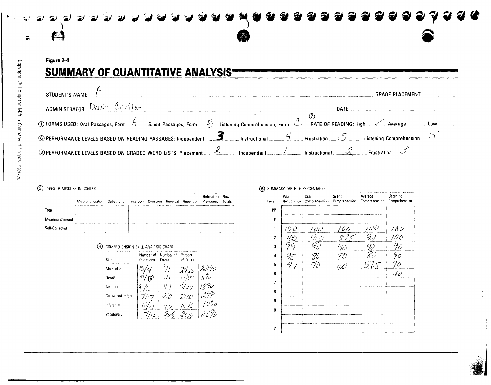

Copyright © Houghton Mifflin Company. All rights reserved

 $\sim$ 

### Figure 2-4 **SUMMARY OF QUANTITATIVE ANALYSIS-**

| STUDENT'S NAME T                                                                                                               | <b>GRADE PLACEMENT</b>                                                                                                                                            |
|--------------------------------------------------------------------------------------------------------------------------------|-------------------------------------------------------------------------------------------------------------------------------------------------------------------|
| $\Delta$ DMINISTRATOR DAWN Crafton                                                                                             | DATE .                                                                                                                                                            |
|                                                                                                                                | ① FORMS USED: Oral Passages, Form $A$ Silent Passages, Form _ $\oslash$ Listening Comprehension, Form $\oslash$ RATE OF READING: High $K$ Average and Low and Low |
|                                                                                                                                | 6 PERFORMANCE LEVELS BASED ON READING PASSAGES: Independent 2 A Instructional 2 Frustration $\lesssim$ Extering Comprehension                                     |
| 2 PERFORMANCE LEVELS BASED ON GRADED WORD LISTS: Placement $\mathcal{A}$ Independent / Instructional $\mathcal{A}$ Frustration |                                                                                                                                                                   |

#### 3) TYPES OF MISCUES IN CONTEXT

| where the control dealers | .<br>Mispronunciation Substitution Insertion Omission Reversal Repetition | . | <b>ALC: YES</b> |  | Refusal to<br>Pronounce | Row<br>Totals |
|---------------------------|---------------------------------------------------------------------------|---|-----------------|--|-------------------------|---------------|
| Total                     |                                                                           |   |                 |  |                         |               |
| Meaning changed           |                                                                           |   |                 |  |                         |               |
| Self-Corrected            |                                                                           |   |                 |  |                         |               |

#### 4 COMPREHENSION SKILL ANALYSIS CHART



#### (5) SUMMARY TABLE OF PERCENTAGES

| Level          | Word<br>Recognition | Oral<br>Comprehension     | Silent<br>Comprehension | Average<br>Comprehension | Listening<br>Comprehension |
|----------------|---------------------|---------------------------|-------------------------|--------------------------|----------------------------|
| PP             |                     |                           |                         |                          |                            |
| P              |                     |                           |                         |                          |                            |
| 1              | 100                 | $\overline{\mu\omega}$    | 100                     | 10D                      | 100                        |
| $\overline{2}$ | 100                 | $l \partial \phi$         | 875                     | $\overline{33}$          | $\frac{100}{1}$            |
| 3              | 99                  | 9D                        | 90                      | 90                       | 90                         |
| 4              | 95                  | $\overline{\mathcal{C}}'$ |                         | Zð                       | 90                         |
| 5              | 97                  | 70                        | $rac{FU}{dx}$           | 575                      | $\frac{90}{40}$            |
| 6              |                     |                           |                         |                          |                            |
| $\overline{ }$ |                     |                           |                         |                          |                            |
| 8              |                     |                           |                         |                          |                            |
| 9              |                     |                           |                         |                          |                            |
| 10             |                     |                           |                         |                          |                            |
| 11             |                     |                           |                         |                          |                            |
| 12             |                     |                           |                         |                          |                            |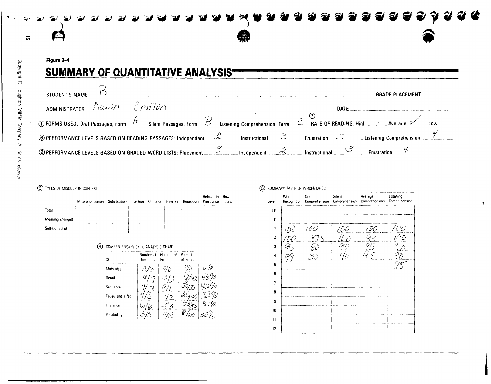

Figure 2-4

## **SUMMARY OF QUANTITATIVE ANALYSIS-**

| STUDENT'S NAME                               |                                                                                                                                                                                                                           |  |        | <b>GRADE PLACEMENT</b> |  |
|----------------------------------------------|---------------------------------------------------------------------------------------------------------------------------------------------------------------------------------------------------------------------------|--|--------|------------------------|--|
| $\Delta$ ADMINISTRATOR $\Delta$ auin Crafton |                                                                                                                                                                                                                           |  | DATE . |                        |  |
|                                              | $\circledR$ FORMS USED: Oral Passages, Form $\overline{\mathcal{A}}$ Silent Passages, Form $\overline{\mathcal{B}}$ Listening Comprehension, Form $\mathcal{L}$ RATE OF READING: High $\ldots$ Average $\nu$ Low $\ldots$ |  |        |                        |  |
|                                              | © PERFORMANCE LEVELS BASED ON READING PASSAGES: Independent 2 Instructional 3 Frustration 5 Listening Comprehension 7                                                                                                     |  |        |                        |  |
|                                              | <b>2</b> PERFORMANCE LEVELS BASED ON GRADED WORD LISTS: Placement $\frac{3}{2}$ Independent $\frac{2}{2}$ Instructional Frustration .                                                                                     |  |        |                        |  |

#### (3) TYPES OF MISCUES IN CONTEXT

|                 | Mispronunciation Substitution Insertion Omission Reversal |  |  | Repetition | Refusal to<br>Pronounce | Row<br>Totals |
|-----------------|-----------------------------------------------------------|--|--|------------|-------------------------|---------------|
| Total           |                                                           |  |  |            |                         |               |
| Meaning changed |                                                           |  |  |            |                         |               |
| Self-Corrected  |                                                           |  |  |            |                         |               |

#### 4 COMPREHENSION SKILL ANALYSIS CHART

| Skill            | Number at<br>Questions | Number of<br>Errors | Percent<br>of Errors |     |
|------------------|------------------------|---------------------|----------------------|-----|
| Main idea        |                        |                     |                      | D % |
| Detail           | U                      | κï                  |                      |     |
| Sequence         |                        |                     |                      |     |
| Cause and effect |                        |                     |                      |     |
| Inference        |                        |                     |                      |     |
| Vocabulary       |                        |                     |                      |     |

#### (5) SUMMARY TABLE OF PERCENTAGES

| Level                   | Word<br>Recognition | Oral<br>Comprehension | Silent<br>Comprehension | Average<br>Comprehension | Listening<br>Comprehension |
|-------------------------|---------------------|-----------------------|-------------------------|--------------------------|----------------------------|
| PP                      |                     |                       |                         |                          |                            |
| P                       |                     |                       |                         |                          |                            |
| 1                       | 100                 | 100                   | 100                     | 1 D O                    |                            |
| $\overline{\mathbf{c}}$ | 'DO                 | 875                   | 10 D                    | 93                       | 100<br>100                 |
| $\overline{\mathbf{3}}$ | 95                  | 80                    | $O_1$                   | 85                       | $\bar{e_i}$                |
| 4                       |                     | 50                    |                         |                          | $q_{\tilde{\mathcal{L}}}$  |
| 5                       |                     |                       |                         |                          | سېي                        |
| 6                       |                     |                       |                         |                          |                            |
| 7                       |                     |                       |                         |                          |                            |
| 8                       |                     |                       |                         |                          |                            |
| 9                       |                     |                       |                         |                          |                            |
| 10                      |                     |                       |                         |                          |                            |
| 11                      |                     |                       |                         |                          |                            |
| 12                      |                     |                       |                         |                          |                            |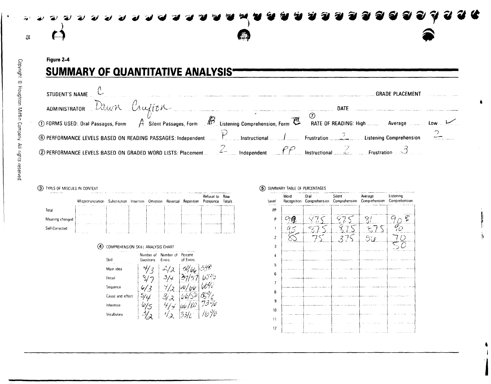

Figure 2-4 **SUMMARY OF QUANTITATIVE ANALYSIS-**

| STUDENT'S NAME                                                                                                     |               | <b>GRADE PLACEMENT</b>                        |  |
|--------------------------------------------------------------------------------------------------------------------|---------------|-----------------------------------------------|--|
| ADMINISTRATOR Dawn Crufton                                                                                         |               | <b>DATE</b>                                   |  |
| 19 FORMS USED: Oral Passages, Form A Silent Passages, Form B Listening Comprehension, Form C RATE OF READING: High |               | Average                                       |  |
| 6 PERFORMANCE LEVELS BASED ON READING PASSAGES: Independent                                                        | Instructional | Frustration<br><b>Listening Comprehension</b> |  |
| 2 PERFORMANCE LEVELS BASED ON GRADED WORD LISTS: Placement                                                         |               | Instructional                                 |  |

#### (3) TYPES OF MISCUES IN CONTEXT

|                 | <b>CONTRACTOR</b><br>Mispronunciation Substitution Insertion Omission |       | 1.111 | Reversal | Repetition | Refusal to<br>Pronounce | Row<br>Totals |
|-----------------|-----------------------------------------------------------------------|-------|-------|----------|------------|-------------------------|---------------|
| Total           |                                                                       | 14.15 |       |          |            |                         |               |
| Meaning changed | <b>British</b>                                                        |       |       |          |            |                         |               |
| Self-Corrected  |                                                                       | .     |       |          |            |                         |               |

#### 4 COMPREHENSION SKILL ANALYSIS CHART

| ×.<br>Skill      | Number of<br>Questions | Number of<br>Errors | Percent<br>of Errors |  |
|------------------|------------------------|---------------------|----------------------|--|
| Main idea        |                        |                     |                      |  |
| Detail           |                        |                     |                      |  |
| Sequence         |                        |                     |                      |  |
| Cause and effect |                        |                     |                      |  |
| Inference        |                        |                     |                      |  |
| Vocabulary       |                        |                     |                      |  |

#### 5 SUMMARY TABLE OF PERCENTAGES

| Level                    | Word<br>Recognition | Oral<br>Comprehension | Silent<br>Comprehension | Average<br>Comprehension | Listening<br>Comprehension |
|--------------------------|---------------------|-----------------------|-------------------------|--------------------------|----------------------------|
| PP                       |                     |                       |                         |                          |                            |
| P                        | ැඉ                  |                       | ⊱                       | 8î                       | $\mathcal{E}$<br>90        |
|                          | И                   | $\mathbb{R}$          |                         | 575                      | $\bar{\mathscr{G}_{O}}$    |
| $\overline{\phantom{a}}$ |                     |                       |                         | 56                       | $\overline{O}$             |
| 3                        |                     |                       |                         |                          |                            |
| 4                        |                     |                       |                         |                          |                            |
| 5                        |                     |                       |                         |                          |                            |
| 6                        |                     |                       |                         |                          |                            |
|                          |                     |                       |                         |                          |                            |
| 8                        |                     |                       |                         |                          |                            |
| 9                        |                     |                       |                         |                          |                            |
| 10                       |                     |                       |                         |                          |                            |
| $\overline{11}$          |                     |                       |                         |                          |                            |
| 12                       |                     |                       |                         |                          |                            |